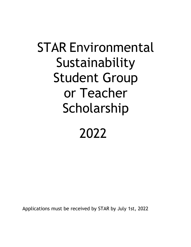## STAR Environmental Sustainability Student Group or Teacher Scholarship 2022

Applications must be received by STAR by July 1st, 2022